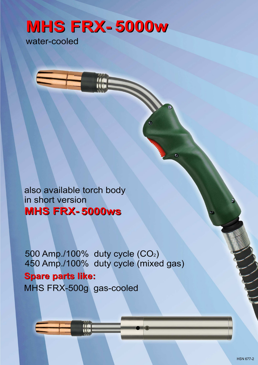# **MHS FRX-5000w**

water-cooled

also available torch body in short version **MHS FRX-5000ws** 

500 Amp./100% duty cycle (CO<sub>2</sub>) 450 Amp./100% duty cycle (mixed gas) **Spare parts like:** MHS FRX-500g gas-cooled

Ò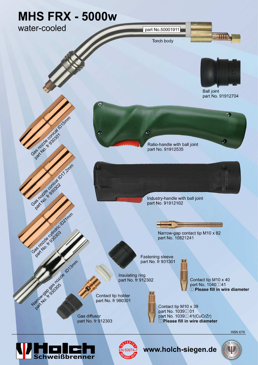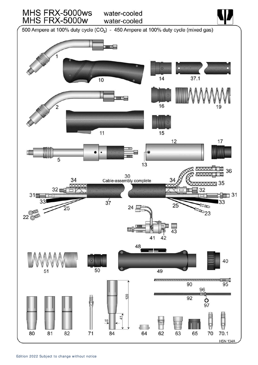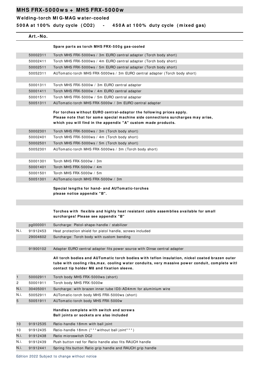**W elding- torch MI G- MAG w ater- cooled**

**5 0 0 A at 1 0 0 % duty cycle ( CO2 ) - 4 5 0 A at 1 0 0 % duty cycle ( m ixed gas)**

**Art.- No.**

|              |          | Spare parts as torch MHS FRX-500g gas-cooled                                                                                                                                                                                                   |
|--------------|----------|------------------------------------------------------------------------------------------------------------------------------------------------------------------------------------------------------------------------------------------------|
|              | 50002311 | Torch MHS FRX-5000ws / 3m EURO central adapter (Torch body short)                                                                                                                                                                              |
|              | 50002411 | Torch MHS FRX-5000ws / 4m EURO central adapter (Torch body short)                                                                                                                                                                              |
|              | 50002511 | Torch MHS FRX-5000ws / 5m EURO central adapter (Torch body short)                                                                                                                                                                              |
|              | 50052311 | AUTomatic-torch MHS FRX-5000ws / 3m EURO central adapter (Torch body short)                                                                                                                                                                    |
|              |          |                                                                                                                                                                                                                                                |
|              | 50001311 | Torch MHS FRX-5000w / 3m EURO central adapter                                                                                                                                                                                                  |
|              | 50001411 | Torch MHS FRX-5000w / 4m EURO central adapter                                                                                                                                                                                                  |
|              | 50001511 | Torch MHS FRX-5000w / 5m EURO central adapter                                                                                                                                                                                                  |
|              | 50051311 | AUTomatic-torch MHS FRX-5000w / 3m EURO central adapter                                                                                                                                                                                        |
|              |          | For torches without EURO central-adaptor the following prices apply.<br>Please note that for some special machine side connections surcharges may arise,<br>which you will find in the appendix "A" custom made products.                      |
|              | 50002301 | Torch MHS FRX-5000ws / 3m (Torch body short)                                                                                                                                                                                                   |
|              | 50002401 | Torch MHS FRX-5000ws / 4m (Torch body short)                                                                                                                                                                                                   |
|              | 50002501 | Torch MHS FRX-5000ws / 5m (Torch body short)                                                                                                                                                                                                   |
|              | 50052301 | AUTomatic-torch MHS FRX-5000ws / 3m (Torch body short)                                                                                                                                                                                         |
|              | 50001301 | Torch MHS FRX-5000w / 3m                                                                                                                                                                                                                       |
|              | 50001401 | Torch MHS FRX-5000w / 4m                                                                                                                                                                                                                       |
|              | 50001501 | Torch MHS FRX-5000w / 5m                                                                                                                                                                                                                       |
|              | 50051301 | AUTomatic-torch MHS FRX-5000w / 3m                                                                                                                                                                                                             |
|              |          | Special lengths for hand- and AUTomatic-torches<br>please notice appendix "B".                                                                                                                                                                 |
|              |          |                                                                                                                                                                                                                                                |
|              |          | Torches with flexible and highly heat resistant cable assemblies available for small<br>surcharges! Please see appendix "B"                                                                                                                    |
|              | pg000001 | Surcharge: Pistol-shape-handle / stabilizer                                                                                                                                                                                                    |
| N.i.         | 91912453 | Heat protection shield for pistol handle, screws included                                                                                                                                                                                      |
|              | 29004602 | Surcharge: Torch body with custom bending                                                                                                                                                                                                      |
|              |          |                                                                                                                                                                                                                                                |
|              | 91900102 | Adapter EURO central adapter fits power source with Dinse central adapter                                                                                                                                                                      |
|              |          | All torch bodies and AUTomatic torch bodies with teflon insulation, nickel coated brazen outer<br>tube with cooling ribs, max. cooling water conduits, very massive power conduit, complete with<br>contact tip holder M8 and fixation sleeve. |
| $\mathbf{1}$ | 50002911 | Torch body MHS FRX-5000ws (short)                                                                                                                                                                                                              |
| 2            | 50001911 | Torch body MHS FRX-5000w                                                                                                                                                                                                                       |
| N.i.         | 30405001 | Surcharge: with brazen inner tube ID3-AD4mm for aluminium wire                                                                                                                                                                                 |
| N.i.         | 50052911 | AUTomatic-torch body MHS FRX-5000ws (short)                                                                                                                                                                                                    |
| 5            | 50051911 | AUTomatic-torch body MHS FRX-5000w                                                                                                                                                                                                             |
|              |          | Handles complete with switch and screws<br>Ball joints or sockets are also included                                                                                                                                                            |
| 10           | 91912535 | Ratio-handle 18mm with ball joint                                                                                                                                                                                                              |
| 10           | 91912435 | Ratio-handle 18mm (*** without ball joint***)                                                                                                                                                                                                  |
| N.i.         | 91912438 | Ratio microswitch DC2                                                                                                                                                                                                                          |
| N.i.         | 91912439 | Push button red for Ratio handle also fits RAUCH handle                                                                                                                                                                                        |
| N.i.         | 91912441 | Spring fits button Ratio grip handle and RAUCH grip handle                                                                                                                                                                                     |

Edition 2022 Subject to change without notice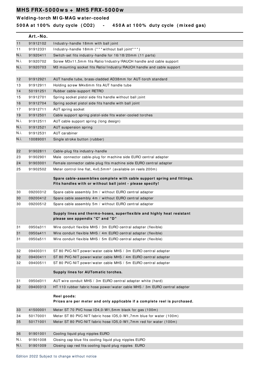**W elding- torch MI G- MAG w ater- cooled**

**5 0 0 A at 1 0 0 % duty cycle ( CO2 ) - 4 5 0 A at 1 0 0 % duty cycle ( m ixed gas)**

|      | Art.-No. |                                                                                                                                      |
|------|----------|--------------------------------------------------------------------------------------------------------------------------------------|
| 11   | 91912102 | Industry-handle 18mm with ball joint                                                                                                 |
| 11   | 91912331 | Industry-handle 18mm (*** without ball joint***)                                                                                     |
| N.i. | 91920411 | Switch-set fits industry-handle for 16/18/20mm (11 parts)                                                                            |
| N.i. | 91920702 | Screw M3x11,5mm fits Ratio/Industry/RAUCH handle and cable support                                                                   |
| N.i. | 91920703 | M3 mounting socket fits Ratio/Industry/RAUCH handle and cable support                                                                |
|      |          |                                                                                                                                      |
| 12   | 91912921 | AUT handle tube, brass-cladded AD38mm for AUT-torch standard                                                                         |
| 13   | 91912911 | Holding screw M4x6mm fits AUT handle tube                                                                                            |
| 14   | 50191251 | Rubber cable-support RETRO                                                                                                           |
| 15   | 91912701 | Spring socket pistol side fits handle without ball joint                                                                             |
| 16   | 91912704 | Spring socket pistol side fits handle with ball joint                                                                                |
| 17   | 91912711 | AUT spring socket                                                                                                                    |
| 19   | 91912501 | Cable support spring pistol-side fits water-cooled torches                                                                           |
| N.i. | 91912511 | AUT cable support spring (long design)                                                                                               |
| N.i. | 91912521 | AUT suspension spring                                                                                                                |
| N.i. | 91912531 | AUT carabiner                                                                                                                        |
| N.i. | 10089001 | Single stroke button (rubber)                                                                                                        |
|      |          |                                                                                                                                      |
| 22   | 91902811 | Cable-plug fits industry-handle                                                                                                      |
| 23   | 91902901 | Male connector cable-plug for machine side EURO central adapter                                                                      |
| 24   | 91903001 | Female connector cable-plug fits machine side EURO central adapter                                                                   |
| 25   | 91902502 | Meter control line flat, 4x0,5mm <sup>2</sup> (available on reels 200m)                                                              |
|      |          | Spare cable-assemblies complete with cable support spring and fittings.<br>Fits handles with or without ball joint - please specify! |
| 30   | 09200312 | Spare cable assembly 3m / without EURO central adapter                                                                               |
| 30   | 09200412 | Spare cable assembly 4m / without EURO central adapter                                                                               |
| 30   | 09200512 | Spare cable assembly 5m / without EURO central adapter                                                                               |
|      |          | Supply lines and thermo-hoses, superflexible and highly heat resistant<br>please see appendix "C" and "D"                            |
| 31   | 0950a311 | Wire conduit flexible MHS / 3m EURO central adapter (flexible)                                                                       |
| 31   | 0950a411 | Wire conduit flexible MHS / 4m EURO central adapter (flexible)                                                                       |
| 31   | 0950a511 | Wire conduit flexible MHS / 5m EURO central adapter (flexible)                                                                       |
|      |          |                                                                                                                                      |
| 32   | 09400311 | ST 80 PVC-NIT power/water cable MHS / 3m EURO central adapter                                                                        |
| 32   | 09400411 | ST 80 PVC-NIT power/water cable MHS / 4m EURO central adapter                                                                        |
| 32   | 09400511 | ST 80 PVC-NIT power/water cable MHS / 5m EURO central adapter                                                                        |
|      |          | Supply lines for AUTomatic torches.                                                                                                  |
| 31   | 0950d311 | AUT wire conduit MHS / 3m EURO central adapter white (hard)                                                                          |
| 32   | 09400313 | HT 110 rubber fabric hose power/water cable MHS / 3m EURO central adapter                                                            |
|      |          | Reel goods:<br>Prices are per meter and only applicable if a complete reel is purchased.                                             |
| 33   | 41500001 | Meter ST 70 PVC hose ID4,0-W1,5mm black for gas (100m)                                                                               |
| 34   | 50170001 | Meter ST 80 PVC-NIT fabric hose ID5,0-W1,7mm blue for water (100m)                                                                   |
| 35   | 50171001 | Meter ST 80 PVC-NIT fabric hose ID5,0-W1,7mm red for water (100m)                                                                    |
|      |          |                                                                                                                                      |
| 36   | 91901001 | Cooling liquid plug nipples EURO                                                                                                     |
| N.i. | 91901008 | Closing cap blue fits cooling liquid plug nipples EURO                                                                               |
| N.i. | 91901009 | Closing cap red fits cooling liquid plug nipples EURO                                                                                |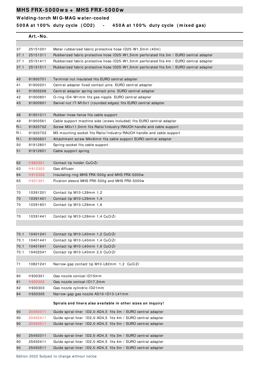### **W elding- torch MI G- MAG w ater- cooled**

**5 0 0 A at 1 0 0 % duty cycle ( CO2 ) - 4 5 0 A at 1 0 0 % duty cycle ( m ixed gas)**

|      | Art.-No. |                                                                                         |
|------|----------|-----------------------------------------------------------------------------------------|
|      |          |                                                                                         |
| 37   | 25151001 | Meter rubberized fabric protective hose ID25-W1,5mm (40m)                               |
| 37.1 | 25151311 | Rubberized fabric protective hose ID25-W1,5mm perforated fits 3m / EURO central adapter |
| 37.1 | 25151411 | Rubberized fabric protective hose ID25-W1,5mm perforated fits 4m / EURO central adapter |
| 37.1 | 25151511 | Rubberized fabric protective hose ID25-W1,5mm perforated fits 5m / EURO central adapter |
| 40   | 91900701 | Terminal nut insulated fits EURO central adapter                                        |
| 41   | 91900201 | Central adapter fixed contact-pins EURO central adapter                                 |
| 41   | 91900206 | Central adapter spring contact-pins EURO central adapter                                |
| 42   | 91900801 | O-ring ID4-W1mm fits gas-nipple EURO central adapter                                    |
| 43   | 91900901 | Swivel nut IT-M10x1 (rounded edges) fits EURO central adapter                           |
|      |          |                                                                                         |
| 48   | 91901011 | Rubber-hose-fence fits cable support                                                    |
| 49   | 91900561 | Cable support machine side (srews included) fits EURO central adapter                   |
| N.i. | 91920702 | Screw M3x11,5mm fits Ratio/Industry/RAUCH handle and cable support                      |
| N.i. | 91920703 | M3 mounting socket fits Ratio/Industry/RAUCH handle and cable support                   |
| N.i. | 91900601 | Attachment screw M4x6mm fits cable support EURO central adapter                         |
| 50   | 91912801 | Spring-socket fits cable support                                                        |
| 51   | 91912601 | Cable support spring                                                                    |
| 62   | fr980301 | Contact tip holder CuCrZr                                                               |
| 63   | fr912303 | Gas diffusor                                                                            |
| 64   | fr912302 | Insulating ring MHS FRX-500g and MHS FRX-5000w                                          |
| 65   | fr931301 | Fixation sleeve MHS FRX-500g and MHS FRX-5000w                                          |
| 70   | 10391201 | Contact tip M10-L39mm 1,2                                                               |
| 70   | 10391401 | Contact tip M10-L39mm 1,4                                                               |
| 70   | 10391601 | Contact tip M10-L39mm 1,6                                                               |
|      |          |                                                                                         |
| 70   | 10391441 | Contact tip M10-L39mm 1,4 CuCrZr                                                        |
|      |          |                                                                                         |
| 70.1 | 10401241 | Contact tip M10-L40mm 1,2 CuCrZr                                                        |
| 70.1 | 10401441 | Contact tip M10-L40mm 1,4 CuCrZr                                                        |
| 70.1 | 10401641 | Contact tip M10-L40mm 1,6 CuCrZr                                                        |
| 70.1 | 10402041 | Contact tip M10-L40mm 2,0 CuCrZr                                                        |
|      |          |                                                                                         |
| 71   | 10821241 | Narrow-gap contact tip M10-L82mm 1.2 CuCrZr                                             |
|      |          |                                                                                         |
| 80   | fr930301 | Gas nozzle conical-ID15mm                                                               |
| 81   | fr930302 | Gas nozzle conical-ID17,2mm                                                             |
| 82   | fr930303 | Gas nozzle cylindric-ID21mm                                                             |
| 84   | fr930305 | Narrow-gap gas nozzle AD16-ID13-L41mm                                                   |
|      |          | Spirals and liners also available in other sizes on inquiry!                            |
| 90   | 20450311 | Guide spiral-liner ID2,0-AD4,5 fits 3m / EURO central adapter                           |
| 90   | 20450411 | Guide spiral-liner ID2,0-AD4,5 fits 4m / EURO central adapter                           |
| 90   | 20450511 | Guide spiral-liner ID2,0-AD4,5 fits 5m / EURO central adapter                           |
|      |          |                                                                                         |
| 90   | 25450311 | Guide spiral-liner ID2,5-AD4,5 fits 3m / EURO central adapter                           |
| 90   | 25450411 | Guide spiral-liner ID2,5-AD4,5 fits 4m / EURO central adapter                           |
| 90   | 25450511 | Guide spiral-liner ID2,5-AD4,5 fits 5m / EURO central adapter                           |